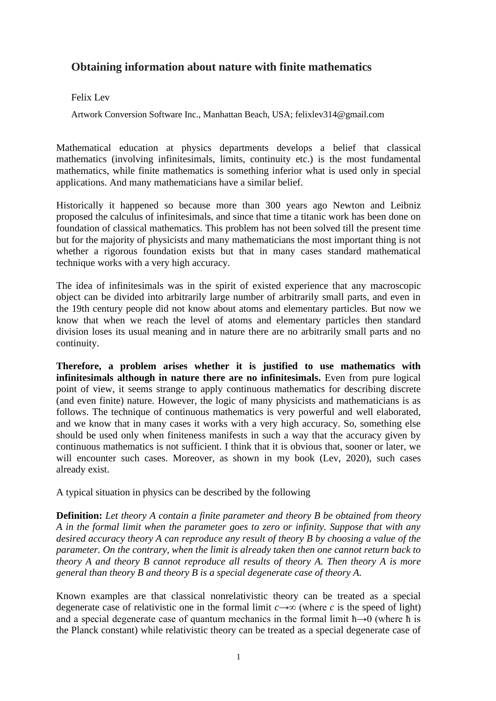## **Obtaining information about nature with finite mathematics**

## Felix Lev

Artwork Conversion Software Inc., Manhattan Beach, USA; felixlev314@gmail.com

Mathematical education at physics departments develops a belief that classical mathematics (involving infinitesimals, limits, continuity etc.) is the most fundamental mathematics, while finite mathematics is something inferior what is used only in special applications. And many mathematicians have a similar belief.

Historically it happened so because more than 300 years ago Newton and Leibniz proposed the calculus of infinitesimals, and since that time a titanic work has been done on foundation of classical mathematics. This problem has not been solved till the present time but for the majority of physicists and many mathematicians the most important thing is not whether a rigorous foundation exists but that in many cases standard mathematical technique works with a very high accuracy.

The idea of infinitesimals was in the spirit of existed experience that any macroscopic object can be divided into arbitrarily large number of arbitrarily small parts, and even in the 19th century people did not know about atoms and elementary particles. But now we know that when we reach the level of atoms and elementary particles then standard division loses its usual meaning and in nature there are no arbitrarily small parts and no continuity.

**Therefore, a problem arises whether it is justified to use mathematics with infinitesimals although in nature there are no infinitesimals.** Even from pure logical point of view, it seems strange to apply continuous mathematics for describing discrete (and even finite) nature. However, the logic of many physicists and mathematicians is as follows. The technique of continuous mathematics is very powerful and well elaborated, and we know that in many cases it works with a very high accuracy. So, something else should be used only when finiteness manifests in such a way that the accuracy given by continuous mathematics is not sufficient. I think that it is obvious that, sooner or later, we will encounter such cases. Moreover, as shown in my book (Lev, 2020), such cases already exist.

A typical situation in physics can be described by the following

**Definition:** *Let theory A contain a finite parameter and theory B be obtained from theory A in the formal limit when the parameter goes to zero or infinity. Suppose that with any desired accuracy theory A can reproduce any result of theory B by choosing a value of the parameter. On the contrary, when the limit is already taken then one cannot return back to theory A and theory B cannot reproduce all results of theory A. Then theory A is more general than theory B and theory B is a special degenerate case of theory A.* 

Known examples are that classical nonrelativistic theory can be treated as a special degenerate case of relativistic one in the formal limit  $c \rightarrow \infty$  (where *c* is the speed of light) and a special degenerate case of quantum mechanics in the formal limit  $\hbar \rightarrow 0$  (where  $\hbar$  is the Planck constant) while relativistic theory can be treated as a special degenerate case of